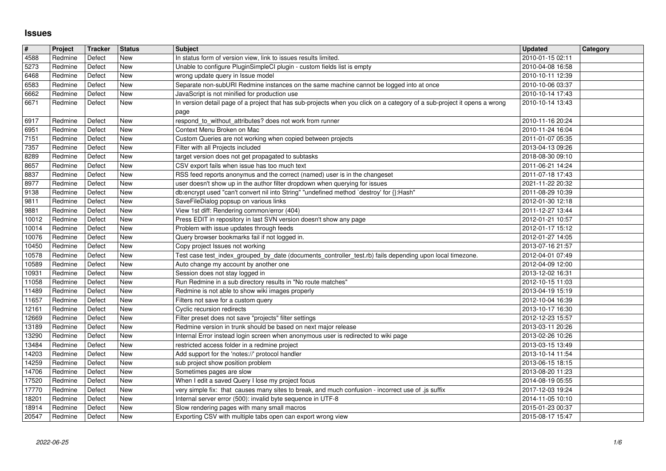## **Issues**

| $\pmb{\sharp}$ | Project            | Tracker          | <b>Status</b> | <b>Subject</b>                                                                                                                                            | <b>Updated</b>                       | Category |
|----------------|--------------------|------------------|---------------|-----------------------------------------------------------------------------------------------------------------------------------------------------------|--------------------------------------|----------|
| 4588           | Redmine            | Defect           | New           | In status form of version view, link to issues results limited.                                                                                           | 2010-01-15 02:11                     |          |
| 5273<br>6468   | Redmine<br>Redmine | Defect<br>Defect | New<br>New    | Unable to configure PluginSimpleCI plugin - custom fields list is empty<br>wrong update query in Issue model                                              | 2010-04-08 16:58<br>2010-10-11 12:39 |          |
| 6583           | Redmine            | Defect           | New           | Separate non-subURI Redmine instances on the same machine cannot be logged into at once                                                                   | 2010-10-06 03:37                     |          |
| 6662           | Redmine            | Defect           | New           | JavaScript is not minified for production use                                                                                                             | 2010-10-14 17:43                     |          |
| 6671           | Redmine            | Defect           | New           | In version detail page of a project that has sub-projects when you click on a category of a sub-project it opens a wrong                                  | 2010-10-14 13:43                     |          |
| 6917           | Redmine            | Defect           | New           | page<br>respond_to_without_attributes? does not work from runner                                                                                          | 2010-11-16 20:24                     |          |
| 6951           | Redmine            | Defect           | New           | Context Menu Broken on Mac                                                                                                                                | 2010-11-24 16:04                     |          |
| $\boxed{7151}$ | Redmine            | Defect           | New           | Custom Queries are not working when copied between projects                                                                                               | 2011-01-07 05:35                     |          |
| 7357           | Redmine            | Defect           | New           | Filter with all Projects included                                                                                                                         | 2013-04-13 09:26                     |          |
| 8289           | Redmine            | Defect           | New           | target version does not get propagated to subtasks                                                                                                        | 2018-08-30 09:10                     |          |
| 8657           | Redmine            | Defect           | New           | CSV export fails when issue has too much text                                                                                                             | 2011-06-21 14:24                     |          |
| 8837<br>8977   | Redmine<br>Redmine | Defect<br>Defect | New<br>New    | RSS feed reports anonymus and the correct (named) user is in the changeset<br>user doesn't show up in the author filter dropdown when querying for issues | 2011-07-18 17:43<br>2021-11-22 20:32 |          |
| 9138           | Redmine            | Defect           | New           | db:encrypt used "can't convert nil into String" "undefined method `destroy' for {}:Hash"                                                                  | 2011-08-29 10:39                     |          |
| 9811           | Redmine            | Defect           | New           | SaveFileDialog popsup on various links                                                                                                                    | 2012-01-30 12:18                     |          |
| 9881           | Redmine            | Defect           | New           | View 1st diff: Rendering common/error (404)                                                                                                               | 2011-12-27 13:44                     |          |
| 10012<br>10014 | Redmine<br>Redmine | Defect<br>Defect | New<br>New    | Press EDIT in repository in last SVN version doesn't show any page<br>Problem with issue updates through feeds                                            | 2012-01-21 10:57<br>2012-01-17 15:12 |          |
| 10076          | Redmine            | Defect           | New           | Query browser bookmarks fail if not logged in.                                                                                                            | 2012-01-27 14:05                     |          |
| 10450          | Redmine            | Defect           | New           | Copy project Issues not working                                                                                                                           | 2013-07-16 21:57                     |          |
| 10578          | Redmine            | Defect           | New           | Test case test_index_grouped_by_date (documents_controller_test.rb) fails depending upon local timezone.                                                  | 2012-04-01 07:49                     |          |
| 10589<br>10931 | Redmine<br>Redmine | Defect<br>Defect | New<br>New    | Auto change my account by another one<br>Session does not stay logged in                                                                                  | 2012-04-09 12:00<br>2013-12-02 16:31 |          |
| 11058          | Redmine            | Defect           | New           | Run Redmine in a sub directory results in "No route matches"                                                                                              | 2012-10-15 11:03                     |          |
| 11489          | Redmine            | Defect           | New           | Redmine is not able to show wiki images properly                                                                                                          | 2013-04-19 15:19                     |          |
| 11657          | Redmine            | Defect           | New           | Filters not save for a custom query                                                                                                                       | 2012-10-04 16:39                     |          |
| 12161          | Redmine            | Defect           | New           | Cyclic recursion redirects                                                                                                                                | 2013-10-17 16:30                     |          |
| 12669<br>13189 | Redmine<br>Redmine | Defect<br>Defect | New<br>New    | Filter preset does not save "projects" filter settings<br>Redmine version in trunk should be based on next major release                                  | 2012-12-23 15:57<br>2013-03-11 20:26 |          |
| 13290          | Redmine            | Defect           | New           | Internal Error instead login screen when anonymous user is redirected to wiki page                                                                        | 2013-02-26 10:26                     |          |
| 13484          | Redmine            | Defect           | New           | restricted access folder in a redmine project                                                                                                             | 2013-03-15 13:49                     |          |
| 14203          | Redmine            | Defect           | New           | Add support for the 'notes://' protocol handler                                                                                                           | 2013-10-14 11:54                     |          |
| 14259          | Redmine            | Defect           | New           | sub project show position problem                                                                                                                         | 2013-06-15 18:15                     |          |
| 14706<br>17520 | Redmine<br>Redmine | Defect<br>Defect | New<br>New    | Sometimes pages are slow<br>When I edit a saved Query I lose my project focus                                                                             | 2013-08-20 11:23<br>2014-08-19 05:55 |          |
| 17770          | Redmine            | Defect           | New           | very simple fix: that causes many sites to break, and much confusion - incorrect use of .js suffix                                                        | 2017-12-03 19:24                     |          |
| 18201          | Redmine            | Defect           | New           | Internal server error (500): invalid byte sequence in UTF-8                                                                                               | 2014-11-05 10:10                     |          |
| 18914<br>20547 | Redmine<br>Redmine | Defect<br>Defect | New<br>New    | Slow rendering pages with many small macros<br>Exporting CSV with multiple tabs open can export wrong view                                                | 2015-01-23 00:37<br>2015-08-17 15:47 |          |
|                |                    |                  |               |                                                                                                                                                           |                                      |          |
|                |                    |                  |               |                                                                                                                                                           |                                      |          |
|                |                    |                  |               |                                                                                                                                                           |                                      |          |
|                |                    |                  |               |                                                                                                                                                           |                                      |          |
|                |                    |                  |               |                                                                                                                                                           |                                      |          |
|                |                    |                  |               |                                                                                                                                                           |                                      |          |
|                |                    |                  |               |                                                                                                                                                           |                                      |          |
|                |                    |                  |               |                                                                                                                                                           |                                      |          |
|                |                    |                  |               |                                                                                                                                                           |                                      |          |
|                |                    |                  |               |                                                                                                                                                           |                                      |          |
|                |                    |                  |               |                                                                                                                                                           |                                      |          |
|                |                    |                  |               |                                                                                                                                                           |                                      |          |
|                |                    |                  |               |                                                                                                                                                           |                                      |          |
|                |                    |                  |               |                                                                                                                                                           |                                      |          |
|                |                    |                  |               |                                                                                                                                                           |                                      |          |
|                |                    |                  |               |                                                                                                                                                           |                                      |          |
|                |                    |                  |               |                                                                                                                                                           |                                      |          |
|                |                    |                  |               |                                                                                                                                                           |                                      |          |
|                |                    |                  |               |                                                                                                                                                           |                                      |          |
|                |                    |                  |               |                                                                                                                                                           |                                      |          |
|                |                    |                  |               |                                                                                                                                                           |                                      |          |
|                |                    |                  |               |                                                                                                                                                           |                                      |          |
|                |                    |                  |               |                                                                                                                                                           |                                      |          |
|                |                    |                  |               |                                                                                                                                                           |                                      |          |
|                |                    |                  |               |                                                                                                                                                           |                                      |          |
|                |                    |                  |               |                                                                                                                                                           |                                      |          |
|                |                    |                  |               |                                                                                                                                                           |                                      |          |
|                |                    |                  |               |                                                                                                                                                           |                                      |          |
|                |                    |                  |               |                                                                                                                                                           |                                      |          |
|                |                    |                  |               |                                                                                                                                                           |                                      |          |
|                |                    |                  |               |                                                                                                                                                           |                                      |          |
|                |                    |                  |               |                                                                                                                                                           |                                      |          |
|                |                    |                  |               |                                                                                                                                                           |                                      |          |
|                |                    |                  |               |                                                                                                                                                           |                                      |          |
|                |                    |                  |               |                                                                                                                                                           |                                      |          |
|                |                    |                  |               |                                                                                                                                                           |                                      |          |
|                |                    |                  |               |                                                                                                                                                           |                                      |          |
|                |                    |                  |               |                                                                                                                                                           |                                      |          |
|                |                    |                  |               |                                                                                                                                                           |                                      |          |
|                |                    |                  |               |                                                                                                                                                           |                                      |          |
|                |                    |                  |               |                                                                                                                                                           |                                      |          |
|                |                    |                  |               |                                                                                                                                                           |                                      |          |
|                |                    |                  |               |                                                                                                                                                           |                                      |          |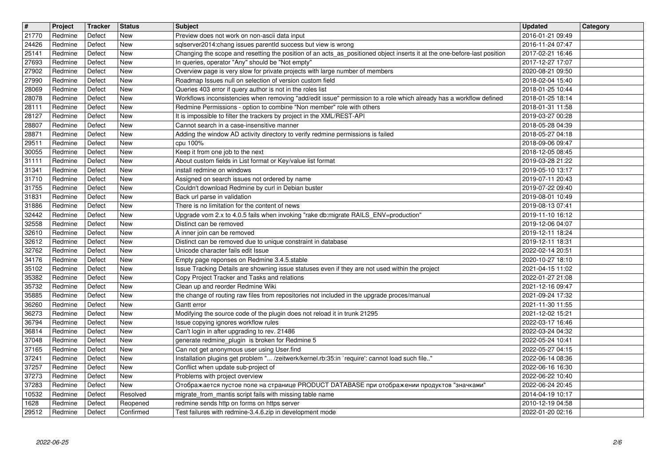| $\overline{\mathbf{t}}$ | Project            | Tracker          | <b>Status</b>            | Subject                                                                                                                                                                                     | <b>Updated</b>                       | <b>Category</b> |
|-------------------------|--------------------|------------------|--------------------------|---------------------------------------------------------------------------------------------------------------------------------------------------------------------------------------------|--------------------------------------|-----------------|
| 21770<br>24426          | Redmine<br>Redmine | Defect<br>Defect | New<br><b>New</b>        | Preview does not work on non-ascii data input<br>sqlserver2014:chang issues parentld success but view is wrong                                                                              | 2016-01-21 09:49<br>2016-11-24 07:47 |                 |
| 25141                   | Redmine            | Defect           | New                      | Changing the scope and resetting the position of an acts_as_positioned object inserts it at the one-before-last position                                                                    | 2017-02-21 16:46                     |                 |
| 27693                   | Redmine            | Defect           | <b>New</b>               | In queries, operator "Any" should be "Not empty"                                                                                                                                            | 2017-12-27 17:07                     |                 |
| 27902<br>27990          | Redmine<br>Redmine | Defect<br>Defect | New<br><b>New</b>        | Overview page is very slow for private projects with large number of members<br>Roadmap Issues null on selection of version custom field                                                    | 2020-08-21 09:50<br>2018-02-04 15:40 |                 |
| 28069                   | Redmine            | Defect           | New                      | Queries 403 error if query author is not in the roles list                                                                                                                                  | 2018-01-25 10:44                     |                 |
| 28078<br>28111          | Redmine<br>Redmine | Defect<br>Defect | New<br>New               | Workflows inconsistencies when removing "add/edit issue" permission to a role which already has a workflow defined<br>Redmine Permissions - option to combine "Non member" role with others | 2018-01-25 18:14<br>2018-01-31 11:58 |                 |
| 28127                   | Redmine            | Defect           | New                      | It is impossible to filter the trackers by project in the XML/REST-API                                                                                                                      | 2019-03-27 00:28                     |                 |
| 28807<br>28871          | Redmine<br>Redmine | Defect<br>Defect | <b>New</b><br>New        | Cannot search in a case-insensitive manner<br>Adding the window AD activity directory to verify redmine permissions is failed                                                               | 2018-05-28 04:39<br>2018-05-27 04:18 |                 |
| 29511                   | Redmine            | Defect           | <b>New</b>               | cpu 100%                                                                                                                                                                                    | 2018-09-06 09:47                     |                 |
| 30055<br>31111          | Redmine<br>Redmine | Defect<br>Defect | <b>New</b><br>New        | Keep it from one job to the next<br>About custom fields in List format or Key/value list format                                                                                             | 2018-12-05 08:45<br>2019-03-28 21:22 |                 |
| 31341                   | Redmine            | Defect           | <b>New</b>               | install redmine on windows                                                                                                                                                                  | 2019-05-10 13:17                     |                 |
| 31710<br>31755          | Redmine<br>Redmine | Defect<br>Defect | New<br>New               | Assigned on search issues not ordered by name<br>Couldn't download Redmine by curl in Debian buster                                                                                         | 2019-07-11 20:43<br>2019-07-22 09:40 |                 |
| 31831                   | Redmine            | Defect           | New                      | Back url parse in validation                                                                                                                                                                | 2019-08-01 10:49                     |                 |
| 31886<br>32442          | Redmine<br>Redmine | Defect<br>Defect | <b>New</b><br>New        | There is no limitation for the content of news<br>Upgrade vom 2.x to 4.0.5 fails when invoking "rake db:migrate RAILS_ENV=production"                                                       | 2019-08-13 07:41<br>2019-11-10 16:12 |                 |
| 32558                   | Redmine            | Defect           | <b>New</b>               | Distinct can be removed                                                                                                                                                                     | 2019-12-06 04:07                     |                 |
| 32610<br>32612          | Redmine<br>Redmine | Defect<br>Defect | <b>New</b><br><b>New</b> | A inner join can be removed<br>Distinct can be removed due to unique constraint in database                                                                                                 | 2019-12-11 18:24<br>2019-12-11 18:31 |                 |
| 32762                   | Redmine            | Defect           | New                      | Unicode character fails edit Issue                                                                                                                                                          | 2022-02-14 20:51                     |                 |
| 34176<br>35102          | Redmine<br>Redmine | Defect<br>Defect | New<br>New               | Empty page reponses on Redmine 3.4.5.stable<br>Issue Tracking Details are showning issue statuses even if they are not used within the project                                              | 2020-10-27 18:10<br>2021-04-15 11:02 |                 |
| 35382                   | Redmine            | Defect           | New                      | Copy Project Tracker and Tasks and relations                                                                                                                                                | 2022-01-27 21:08                     |                 |
| 35732                   | Redmine            | Defect<br>Defect | <b>New</b><br><b>New</b> | Clean up and reorder Redmine Wiki                                                                                                                                                           | 2021-12-16 09:47                     |                 |
| 35885<br>36260          | Redmine<br>Redmine | Defect           | <b>New</b>               | the change of routing raw files from repositories not included in the upgrade proces/manual<br>Gantt error                                                                                  | 2021-09-24 17:32<br>2021-11-30 11:55 |                 |
| 36273                   | Redmine            | Defect           | <b>New</b>               | Modifying the source code of the plugin does not reload it in trunk 21295                                                                                                                   | 2021-12-02 15:21                     |                 |
| 36794<br>36814          | Redmine<br>Redmine | Defect<br>Defect | New<br><b>New</b>        | Issue copying ignores workflow rules<br>Can't login in after upgrading to rev. 21486                                                                                                        | 2022-03-17 16:46<br>2022-03-24 04:32 |                 |
| 37048                   | Redmine            | Defect           | New                      | generate redmine_plugin is broken for Redmine 5                                                                                                                                             | 2022-05-24 10:41                     |                 |
| 37165<br>37241          | Redmine<br>Redmine | Defect<br>Defect | New<br><b>New</b>        | Can not get anonymous user using User.find<br>Installation plugins get problem " /zeitwerk/kernel.rb:35:in `require': cannot load such file"                                                | 2022-05-27 04:15<br>2022-06-14 08:36 |                 |
| 37257                   | Redmine            | Defect           | New                      | Conflict when update sub-project of                                                                                                                                                         | 2022-06-16 16:30                     |                 |
| 37273<br>37283          | Redmine<br>Redmine | Defect<br>Defect | New<br>New               | Problems with project overview<br>Отображается пустое поле на странице PRODUCT DATABASE при отображении продуктов "значками"                                                                | 2022-06-22 10:40<br>2022-06-24 20:45 |                 |
| 10532                   | Redmine            | Defect           | Resolved                 | migrate from mantis script fails with missing table name                                                                                                                                    | 2014-04-19 10:17                     |                 |
| 1628<br>29512           | Redmine<br>Redmine | Defect<br>Defect | Reopened<br>Confirmed    | redmine sends http on forms on https server<br>Test failures with redmine-3.4.6.zip in development mode                                                                                     | 2010-12-19 04:58<br>2022-01-20 02:16 |                 |
|                         | 2022-06-25         |                  |                          |                                                                                                                                                                                             |                                      | 2/6             |
|                         |                    |                  |                          |                                                                                                                                                                                             |                                      |                 |
|                         |                    |                  |                          |                                                                                                                                                                                             |                                      |                 |
|                         |                    |                  |                          |                                                                                                                                                                                             |                                      |                 |
|                         |                    |                  |                          |                                                                                                                                                                                             |                                      |                 |
|                         |                    |                  |                          |                                                                                                                                                                                             |                                      |                 |
|                         |                    |                  |                          |                                                                                                                                                                                             |                                      |                 |
|                         |                    |                  |                          |                                                                                                                                                                                             |                                      |                 |
|                         |                    |                  |                          |                                                                                                                                                                                             |                                      |                 |
|                         |                    |                  |                          |                                                                                                                                                                                             |                                      |                 |
|                         |                    |                  |                          |                                                                                                                                                                                             |                                      |                 |
|                         |                    |                  |                          |                                                                                                                                                                                             |                                      |                 |
|                         |                    |                  |                          |                                                                                                                                                                                             |                                      |                 |
|                         |                    |                  |                          |                                                                                                                                                                                             |                                      |                 |
|                         |                    |                  |                          |                                                                                                                                                                                             |                                      |                 |
|                         |                    |                  |                          |                                                                                                                                                                                             |                                      |                 |
|                         |                    |                  |                          |                                                                                                                                                                                             |                                      |                 |
|                         |                    |                  |                          |                                                                                                                                                                                             |                                      |                 |
|                         |                    |                  |                          |                                                                                                                                                                                             |                                      |                 |
|                         |                    |                  |                          |                                                                                                                                                                                             |                                      |                 |
|                         |                    |                  |                          |                                                                                                                                                                                             |                                      |                 |
|                         |                    |                  |                          |                                                                                                                                                                                             |                                      |                 |
|                         |                    |                  |                          |                                                                                                                                                                                             |                                      |                 |
|                         |                    |                  |                          |                                                                                                                                                                                             |                                      |                 |
|                         |                    |                  |                          |                                                                                                                                                                                             |                                      |                 |
|                         |                    |                  |                          |                                                                                                                                                                                             |                                      |                 |
|                         |                    |                  |                          |                                                                                                                                                                                             |                                      |                 |
|                         |                    |                  |                          |                                                                                                                                                                                             |                                      |                 |
|                         |                    |                  |                          |                                                                                                                                                                                             |                                      |                 |
|                         |                    |                  |                          |                                                                                                                                                                                             |                                      |                 |
|                         |                    |                  |                          |                                                                                                                                                                                             |                                      |                 |
|                         |                    |                  |                          |                                                                                                                                                                                             |                                      |                 |
|                         |                    |                  |                          |                                                                                                                                                                                             |                                      |                 |
|                         |                    |                  |                          |                                                                                                                                                                                             |                                      |                 |
|                         |                    |                  |                          |                                                                                                                                                                                             |                                      |                 |
|                         |                    |                  |                          |                                                                                                                                                                                             |                                      |                 |
|                         |                    |                  |                          |                                                                                                                                                                                             |                                      |                 |
|                         |                    |                  |                          |                                                                                                                                                                                             |                                      |                 |
|                         |                    |                  |                          |                                                                                                                                                                                             |                                      |                 |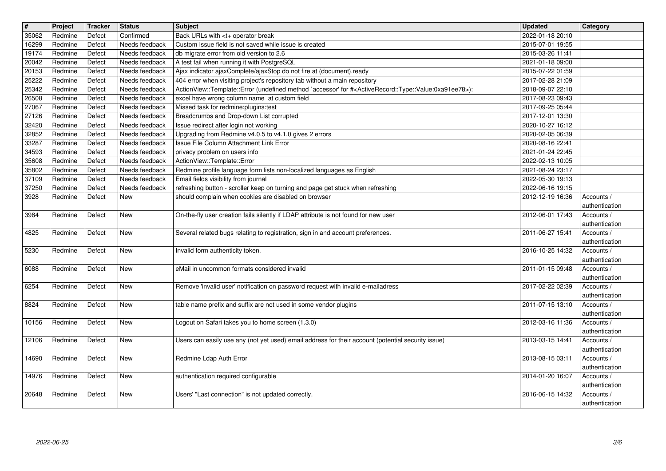| $\overline{\mathbf{t}}$<br>35062 | Project<br>Redmine   | Tracker<br>Defect | <b>Status</b><br>Confirmed       | <b>Subject</b><br>Back URLs with <t+ break<="" operator="" th=""><th>Updated<br/>2022-01-18 20:10</th><th><b>Category</b></th></t+>                                                                                        | Updated<br>2022-01-18 20:10          | <b>Category</b>              |
|----------------------------------|----------------------|-------------------|----------------------------------|----------------------------------------------------------------------------------------------------------------------------------------------------------------------------------------------------------------------------|--------------------------------------|------------------------------|
| 16299                            | Redmine              | Defect            | Needs feedback                   | Custom Issue field is not saved while issue is created                                                                                                                                                                     | 2015-07-01 19:55                     |                              |
| 19174<br>20042                   | Redmine<br>Redmine   | Defect<br>Defect  | Needs feedback<br>Needs feedback | db migrate error from old version to 2.6<br>A test fail when running it with PostgreSQL                                                                                                                                    | 2015-03-26 11:41<br>2021-01-18 09:00 |                              |
| 20153                            | Redmine              | Defect            | Needs feedback                   | Ajax indicator ajaxComplete/ajaxStop do not fire at (document).ready                                                                                                                                                       | 2015-07-22 01:59                     |                              |
| 25222<br>25342                   | Redmine<br>Redmine   | Defect<br>Defect  | Needs feedback<br>Needs feedback | 404 error when visiting project's repository tab without a main repository<br>ActionView::Template::Error (undefined method `accessor' for # <activerecord::type::value:0xa91ee78>):</activerecord::type::value:0xa91ee78> | 2017-02-28 21:09<br>2018-09-07 22:10 |                              |
| 26508<br>27067                   | Redmine<br>Redmine   | Defect<br>Defect  | Needs feedback<br>Needs feedback | excel have wrong column name at custom field<br>Missed task for redmine:plugins:test                                                                                                                                       | 2017-08-23 09:43<br>2017-09-25 05:44 |                              |
| 27126<br>32420                   | Redmine<br>Redmine   | Defect<br>Defect  | Needs feedback<br>Needs feedback | Breadcrumbs and Drop-down List corrupted<br>Issue redirect after login not working                                                                                                                                         | 2017-12-01 13:30<br>2020-10-27 16:12 |                              |
| 32852                            | Redmine              | Defect            | Needs feedback                   | Upgrading from Redmine v4.0.5 to v4.1.0 gives 2 errors                                                                                                                                                                     | 2020-02-05 06:39                     |                              |
| 33287<br>34593                   | Redmine<br>Redmine   | Defect<br>Defect  | Needs feedback<br>Needs feedback | Issue File Column Attachment Link Error<br>privacy problem on users info                                                                                                                                                   | 2020-08-16 22:41<br>2021-01-24 22:45 |                              |
| 35608<br>35802                   | Redmine<br>Redmine   | Defect<br>Defect  | Needs feedback<br>Needs feedback | ActionView::Template::Error<br>Redmine profile language form lists non-localized languages as English                                                                                                                      | 2022-02-13 10:05<br>2021-08-24 23:17 |                              |
| 37109                            | Redmine              | Defect            | Needs feedback                   | Email fields visibility from journal                                                                                                                                                                                       | 2022-05-30 19:13                     |                              |
| 37250<br>3928                    | Redmine<br>Redmine   | Defect<br>Defect  | Needs feedback<br><b>New</b>     | refreshing button - scroller keep on turning and page get stuck when refreshing<br>should complain when cookies are disabled on browser                                                                                    | 2022-06-16 19:15<br>2012-12-19 16:36 | Accounts /                   |
| 3984                             | Redmine              | Defect            | <b>New</b>                       | On-the-fly user creation fails silently if LDAP attribute is not found for new user                                                                                                                                        | 2012-06-01 17:43                     | authentication<br>Accounts / |
| 4825                             | Redmine              | Defect            | New                              | Several related bugs relating to registration, sign in and account preferences.                                                                                                                                            | 2011-06-27 15:41                     | authentication<br>Accounts / |
| 5230                             | Redmine              | Defect            | New                              | Invalid form authenticity token.                                                                                                                                                                                           | 2016-10-25 14:32                     | authentication<br>Accounts / |
| 6088                             | Redmine              | Defect            | New                              | eMail in uncommon formats considered invalid                                                                                                                                                                               | 2011-01-15 09:48                     | authentication<br>Accounts / |
| 6254                             | Redmine              | Defect            | New                              | Remove 'invalid user' notification on password request with invalid e-mailadress                                                                                                                                           | 2017-02-22 02:39                     | authentication<br>Accounts / |
| 8824                             | Redmine              | Defect            | <b>New</b>                       | table name prefix and suffix are not used in some vendor plugins                                                                                                                                                           | 2011-07-15 13:10                     | authentication<br>Accounts / |
|                                  |                      |                   |                                  |                                                                                                                                                                                                                            |                                      | authentication               |
| 10156                            | Redmine              | Defect            | <b>New</b>                       | Logout on Safari takes you to home screen (1.3.0)                                                                                                                                                                          | 2012-03-16 11:36                     | Accounts /<br>authentication |
| 12106                            | Redmine              | Defect            | <b>New</b>                       | Users can easily use any (not yet used) email address for their account (potential security issue)                                                                                                                         | 2013-03-15 14:41                     | Accounts /<br>authentication |
| 14690                            | Redmine              | Defect            | <b>New</b>                       | Redmine Ldap Auth Error                                                                                                                                                                                                    | 2013-08-15 03:11                     | Accounts /<br>authentication |
|                                  | 14976 Redmine Defect |                   | New                              | authentication required configurable                                                                                                                                                                                       | 2014-01-20 16:07 Accounts /          | authentication               |
| 20648                            | Redmine              | Defect            | <b>New</b>                       | Users' "Last connection" is not updated correctly.                                                                                                                                                                         | 2016-06-15 14:32                     | Accounts /<br>authentication |
|                                  |                      |                   |                                  |                                                                                                                                                                                                                            |                                      |                              |
|                                  |                      |                   |                                  |                                                                                                                                                                                                                            |                                      |                              |
|                                  |                      |                   |                                  |                                                                                                                                                                                                                            |                                      |                              |
|                                  |                      |                   |                                  |                                                                                                                                                                                                                            |                                      |                              |
|                                  |                      |                   |                                  |                                                                                                                                                                                                                            |                                      |                              |
|                                  |                      |                   |                                  |                                                                                                                                                                                                                            |                                      |                              |
|                                  |                      |                   |                                  |                                                                                                                                                                                                                            |                                      |                              |
|                                  |                      |                   |                                  |                                                                                                                                                                                                                            |                                      |                              |
|                                  |                      |                   |                                  |                                                                                                                                                                                                                            |                                      |                              |
|                                  |                      |                   |                                  |                                                                                                                                                                                                                            |                                      |                              |
|                                  |                      |                   |                                  |                                                                                                                                                                                                                            |                                      |                              |
|                                  |                      |                   |                                  |                                                                                                                                                                                                                            |                                      |                              |
|                                  |                      |                   |                                  |                                                                                                                                                                                                                            |                                      |                              |
|                                  |                      |                   |                                  |                                                                                                                                                                                                                            |                                      |                              |
|                                  |                      |                   |                                  |                                                                                                                                                                                                                            |                                      |                              |
|                                  |                      |                   |                                  |                                                                                                                                                                                                                            |                                      |                              |
|                                  |                      |                   |                                  |                                                                                                                                                                                                                            |                                      |                              |
|                                  |                      |                   |                                  |                                                                                                                                                                                                                            |                                      |                              |
|                                  |                      |                   |                                  |                                                                                                                                                                                                                            |                                      |                              |
|                                  |                      |                   |                                  |                                                                                                                                                                                                                            |                                      |                              |
|                                  |                      |                   |                                  |                                                                                                                                                                                                                            |                                      |                              |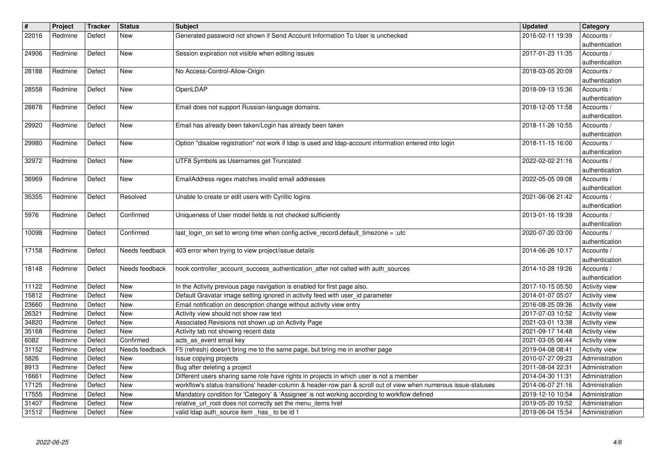| $\sqrt{\frac{4}{15}}$<br>22016 | Project<br>Redmine | <b>Tracker</b><br>Defect | <b>Status</b><br>New    | <b>Subject</b><br>Generated password not shown if Send Account Information To User is unchecked                                                                                                            | <b>Updated</b><br>2016-02-11 19:39   | Category<br>Accounts /<br>authentication |
|--------------------------------|--------------------|--------------------------|-------------------------|------------------------------------------------------------------------------------------------------------------------------------------------------------------------------------------------------------|--------------------------------------|------------------------------------------|
| 24906                          | Redmine            | Defect                   | <b>New</b>              | Session expiration not visible when editing issues                                                                                                                                                         | 2017-01-23 11:35                     | Accounts /                               |
| 28188                          | Redmine            | Defect                   | <b>New</b>              | No Access-Control-Allow-Origin                                                                                                                                                                             | 2018-03-05 20:09                     | authentication<br>Accounts /             |
| 28558                          | Redmine            | Defect                   | New                     | OpenLDAP                                                                                                                                                                                                   | 2018-09-13 15:36                     | authentication<br>Accounts /             |
| 28878                          | Redmine            | Defect                   | New                     | Email does not support Russian-language domains.                                                                                                                                                           | 2018-12-05 11:58                     | authentication<br>Accounts /             |
| 29920                          | Redmine            | Defect                   | New                     | Email has already been taken/Login has already been taken                                                                                                                                                  | 2018-11-26 10:55                     | authentication<br>Accounts /             |
| 29980                          | Redmine            | Defect                   | New                     | Option "disalow registration" not work if Idap is used and Idap-account information entered into login                                                                                                     | 2018-11-15 16:00                     | authentication<br>Accounts /             |
| 32972                          | Redmine            | Defect                   | <b>New</b>              | UTF8 Symbols as Usernames get Truncated                                                                                                                                                                    | 2022-02-02 21:16                     | authentication<br>Accounts /             |
| 36969                          | Redmine            | Defect                   | New                     | EmailAddress regex matches invalid email addresses                                                                                                                                                         | 2022-05-05 09:08                     | authentication<br>Accounts /             |
| 35355                          | Redmine            | Defect                   | Resolved                | Unable to create or edit users with Cyrillic logins                                                                                                                                                        | 2021-06-06 21:42                     | authentication<br>Accounts /             |
| 5976                           | Redmine            | Defect                   | Confirmed               | Uniqueness of User model fields is not checked sufficiently                                                                                                                                                | 2013-01-16 19:39                     | authentication<br>Accounts /             |
| 10098                          | Redmine            | Defect                   | Confirmed               | last_login_on set to wrong time when config.active_record.default_timezone = :utc                                                                                                                          | 2020-07-20 03:00                     | authentication<br>Accounts /             |
| 17158                          | Redmine            | Defect                   | Needs feedback          | 403 error when trying to view project/issue details                                                                                                                                                        | 2014-06-26 10:17                     | authentication<br>Accounts /             |
| 18148                          | Redmine            | Defect                   | Needs feedback          | hook controller_account_success_authentication_after not called with auth_sources                                                                                                                          | 2014-10-28 19:26                     | authentication<br>Accounts /             |
| 11122                          | Redmine            | Defect                   | <b>New</b>              | In the Activity previous page navigation is enabled for first page also.                                                                                                                                   | 2017-10-15 05:50                     | authentication<br><b>Activity view</b>   |
| 15812<br>23660                 | Redmine<br>Redmine | Defect<br>Defect         | New<br><b>New</b>       | Default Gravatar image setting ignored in activity feed with user_id parameter<br>Email notification on description change without activity view entry                                                     | 2014-01-07 05:07<br>2016-08-25 09:36 | Activity view<br>Activity view           |
| 26321                          | Redmine            | Defect                   | <b>New</b>              | Activity view should not show raw text                                                                                                                                                                     | 2017-07-03 10:52                     | <b>Activity view</b>                     |
| 34820                          | Redmine            | Defect                   | <b>New</b>              | Associated Revisions not shown up on Activity Page                                                                                                                                                         | 2021-03-01 13:38                     | <b>Activity view</b>                     |
| 35168                          | Redmine            | Defect                   | <b>New</b><br>Confirmed | Activity tab not showing recent data                                                                                                                                                                       | 2021-09-17 14:48                     | Activity view                            |
| 6082<br>31152                  | Redmine<br>Redmine | Defect<br>Defect         | Needs feedback          | acts_as_event email key<br>F5 (refresh) doesn't bring me to the same page, but bring me in another page                                                                                                    | 2021-03-05 06:44<br>2019-04-08 08:41 | Activity view<br>Activity view           |
| 5826                           | Redmine            | Defect                   | New                     | Issue copying projects                                                                                                                                                                                     | 2010-07-27 09:23                     | Administration                           |
| 8913                           | Redmine            | Defect                   | New                     | Bug after deleting a project                                                                                                                                                                               | 2011-08-04 22:31                     | Administration                           |
| 16661<br>17125                 | Redmine<br>Redmine | Defect<br>Defect         | New<br>New              | Different users sharing same role have rights in projects in which user is not a member<br>workflow's status-transitions' header-column & header-row pan & scroll out of view when numerous issue-statuses | 2014-04-30 11:31<br>2014-06-07 21:16 | Administration<br>Administration         |
| 17555                          | Redmine            | Defect                   | New                     | Mandatory condition for 'Category' & 'Assignee' is not working according to workflow defined                                                                                                               | 2019-12-10 10:54                     | Administration                           |
| 31407<br>31512                 | Redmine<br>Redmine | Defect<br>Defect         | New<br>New              | relative_url_root does not correctly set the menu_items href<br>valid Idap auth_source item_has_ to be id 1                                                                                                | 2019-05-20 19:52<br>2019-06-04 15:54 | Administration<br>Administration         |
|                                |                    |                          |                         |                                                                                                                                                                                                            |                                      |                                          |
|                                |                    |                          |                         |                                                                                                                                                                                                            |                                      |                                          |
|                                |                    |                          |                         |                                                                                                                                                                                                            |                                      |                                          |
|                                |                    |                          |                         |                                                                                                                                                                                                            |                                      |                                          |
|                                |                    |                          |                         |                                                                                                                                                                                                            |                                      |                                          |
|                                |                    |                          |                         |                                                                                                                                                                                                            |                                      |                                          |
|                                |                    |                          |                         |                                                                                                                                                                                                            |                                      |                                          |
|                                |                    |                          |                         |                                                                                                                                                                                                            |                                      |                                          |
|                                |                    |                          |                         |                                                                                                                                                                                                            |                                      |                                          |
|                                |                    |                          |                         |                                                                                                                                                                                                            |                                      |                                          |
|                                |                    |                          |                         |                                                                                                                                                                                                            |                                      |                                          |
|                                |                    |                          |                         |                                                                                                                                                                                                            |                                      |                                          |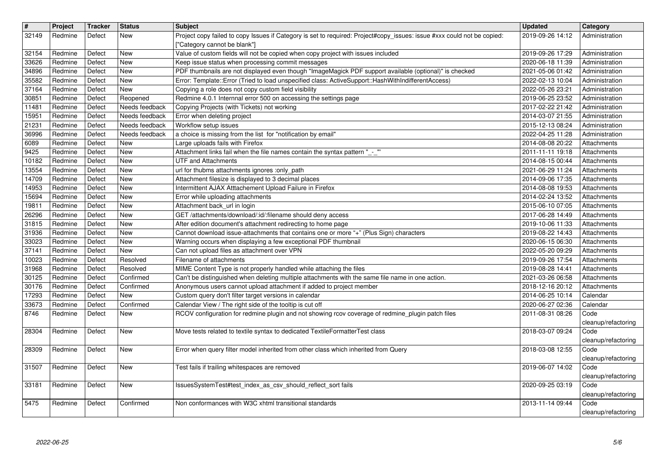| $\sqrt{\frac{4}{15}}$<br>32149 | Project<br>Redmine | Tracker<br>Defect | <b>Status</b><br>New             | <b>Subject</b><br>Project copy failed to copy Issues if Category is set to required: Project#copy_issues: issue #xxx could not be copied:<br>["Category cannot be blank"] | <b>Updated</b><br>2019-09-26 14:12   | <b>Category</b><br>Administration |
|--------------------------------|--------------------|-------------------|----------------------------------|---------------------------------------------------------------------------------------------------------------------------------------------------------------------------|--------------------------------------|-----------------------------------|
| 32154                          | Redmine            | Defect            | New                              | Value of custom fields will not be copied when copy project with issues included                                                                                          | 2019-09-26 17:29                     | Administration                    |
| 33626<br>34896                 | Redmine<br>Redmine | Defect<br>Defect  | New<br>New                       | Keep issue status when processing commit messages<br>PDF thumbnails are not displayed even though "ImageMagick PDF support available (optional)" is checked               | 2020-06-18 11:39<br>2021-05-06 01:42 | Administration<br>Administration  |
| 35582                          | Redmine            | Defect            | New                              | Error: Template::Error (Tried to load unspecified class: ActiveSupport::HashWithIndifferentAccess)                                                                        | 2022-02-13 10:04                     | Administration                    |
| 37164<br>30851                 | Redmine<br>Redmine | Defect<br>Defect  | New<br>Reopened                  | Copying a role does not copy custom field visibility<br>Redmine 4.0.1 Internnal error 500 on accessing the settings page                                                  | 2022-05-26 23:21<br>2019-06-25 23:52 | Administration<br>Administration  |
| 11481                          | Redmine<br>Redmine | Defect<br>Defect  | Needs feedback<br>Needs feedback | Copying Projects (with Tickets) not working<br>Error when deleting project                                                                                                | 2017-02-22 21:42<br>2014-03-07 21:55 | Administration<br>Administration  |
| 15951<br>21231                 | Redmine            | Defect            | Needs feedback                   | Workflow setup issues                                                                                                                                                     | 2015-12-13 08:24                     | Administration                    |
| 36996<br>6089                  | Redmine<br>Redmine | Defect<br>Defect  | Needs feedback<br><b>New</b>     | a choice is missing from the list for "notification by email"<br>Large uploads fails with Firefox                                                                         | 2022-04-25 11:28<br>2014-08-08 20:22 | Administration<br>Attachments     |
| 9425                           | Redmine            | Defect            | <b>New</b>                       | Attachment links fail when the file names contain the syntax pattern "_-_"                                                                                                | 2011-11-11 19:18                     | Attachments                       |
| 10182<br>13554                 | Redmine<br>Redmine | Defect<br>Defect  | <b>New</b><br>New                | <b>UTF and Attachments</b><br>url for thubms attachments ignores :only_path                                                                                               | 2014-08-15 00:44<br>2021-06-29 11:24 | Attachments<br>Attachments        |
| 14709                          | Redmine            | Defect            | New                              | Attachment filesize is displayed to 3 decimal places                                                                                                                      | 2014-09-06 17:35                     | Attachments                       |
| 14953<br>15694                 | Redmine<br>Redmine | Defect<br>Defect  | New<br>New                       | Intermittent AJAX Atttachement Upload Failure in Firefox<br>Error while uploading attachments                                                                             | 2014-08-08 19:53<br>2014-02-24 13:52 | Attachments<br>Attachments        |
| 19811                          | Redmine            | Defect            | <b>New</b>                       | Attachment back_url in login                                                                                                                                              | 2015-06-10 07:05                     | Attachments                       |
| 26296<br>31815                 | Redmine<br>Redmine | Defect<br>Defect  | New<br>New                       | GET /attachments/download/:id/:filename should deny access<br>After edition document's attachment redirecting to home page                                                | 2017-06-28 14:49<br>2019-10-06 11:33 | Attachments<br>Attachments        |
| 31936                          | Redmine            | Defect            | New<br>New                       | Cannot download issue-attachments that contains one or more "+" (Plus Sign) characters                                                                                    | 2019-08-22 14:43<br>2020-06-15 06:30 | Attachments                       |
| 33023<br>37141                 | Redmine<br>Redmine | Defect<br>Defect  | New                              | Warning occurs when displaying a few exceptional PDF thumbnail<br>Can not upload files as attachment over VPN                                                             | 2022-05-20 09:29                     | Attachments<br>Attachments        |
| 10023                          | Redmine            | Defect            | Resolved<br>Resolved             | Filename of attachments                                                                                                                                                   | 2019-09-26 17:54                     | Attachments                       |
| 31968<br>30125                 | Redmine<br>Redmine | Defect<br>Defect  | Confirmed                        | MIME Content Type is not properly handled while attaching the files<br>Can't be distinguished when deleting multiple attachments with the same file name in one action.   | 2019-08-28 14:41<br>2021-03-26 06:58 | Attachments<br>Attachments        |
| 30176<br>17293                 | Redmine<br>Redmine | Defect<br>Defect  | Confirmed<br>New                 | Anonymous users cannot upload attachment if added to project member<br>Custom query don't filter target versions in calendar                                              | 2018-12-16 20:12<br>2014-06-25 10:14 | Attachments<br>Calendar           |
| 33673                          | Redmine            | Defect            | Confirmed                        | Calendar View / The right side of the tooltip is cut off                                                                                                                  | 2020-06-27 02:36                     | Calendar                          |
| 8746                           | Redmine            | Defect            | New                              | RCOV configuration for redmine plugin and not showing rcov coverage of redmine_plugin patch files                                                                         | 2011-08-31 08:26                     | Code<br>cleanup/refactoring       |
| 28304                          | Redmine            | Defect            | New                              | Move tests related to textile syntax to dedicated TextileFormatterTest class                                                                                              | 2018-03-07 09:24                     | Code                              |
| 28309                          | Redmine            | Defect            | New                              | Error when query filter model inherited from other class which inherited from Query                                                                                       | 2018-03-08 12:55                     | cleanup/refactoring<br>Code       |
|                                |                    |                   |                                  |                                                                                                                                                                           |                                      | cleanup/refactoring               |
| 31507                          | Redmine            | Defect            | New                              | Test fails if trailing whitespaces are removed                                                                                                                            | 2019-06-07 14:02                     | Code<br>cleanup/refactoring       |
| 33181                          | Redmine            | Defect            | New                              | IssuesSystemTest#test index as csv should reflect sort fails                                                                                                              | 2020-09-25 03:19                     | Code                              |
| 5475                           | Redmine            | Defect            | Confirmed                        | Non conformances with W3C xhtml transitional standards                                                                                                                    | 2013-11-14 09:44                     | cleanup/refactoring<br>Code       |
|                                |                    |                   |                                  |                                                                                                                                                                           |                                      | cleanup/refactoring               |
|                                |                    |                   |                                  |                                                                                                                                                                           |                                      |                                   |
|                                |                    |                   |                                  |                                                                                                                                                                           |                                      |                                   |
|                                |                    |                   |                                  |                                                                                                                                                                           |                                      |                                   |
|                                |                    |                   |                                  |                                                                                                                                                                           |                                      |                                   |
|                                |                    |                   |                                  |                                                                                                                                                                           |                                      |                                   |
|                                |                    |                   |                                  |                                                                                                                                                                           |                                      |                                   |
|                                |                    |                   |                                  |                                                                                                                                                                           |                                      |                                   |
|                                |                    |                   |                                  |                                                                                                                                                                           |                                      |                                   |
|                                |                    |                   |                                  |                                                                                                                                                                           |                                      |                                   |
|                                |                    |                   |                                  |                                                                                                                                                                           |                                      |                                   |
|                                |                    |                   |                                  |                                                                                                                                                                           |                                      |                                   |
|                                |                    |                   |                                  |                                                                                                                                                                           |                                      |                                   |
|                                |                    |                   |                                  |                                                                                                                                                                           |                                      |                                   |
|                                |                    |                   |                                  |                                                                                                                                                                           |                                      |                                   |
|                                |                    |                   |                                  |                                                                                                                                                                           |                                      |                                   |
|                                |                    |                   |                                  |                                                                                                                                                                           |                                      |                                   |
|                                |                    |                   |                                  |                                                                                                                                                                           |                                      |                                   |
|                                |                    |                   |                                  |                                                                                                                                                                           |                                      |                                   |
|                                |                    |                   |                                  |                                                                                                                                                                           |                                      |                                   |
|                                |                    |                   |                                  |                                                                                                                                                                           |                                      |                                   |
|                                |                    |                   |                                  |                                                                                                                                                                           |                                      |                                   |
|                                |                    |                   |                                  |                                                                                                                                                                           |                                      |                                   |
|                                |                    |                   |                                  |                                                                                                                                                                           |                                      |                                   |
|                                |                    |                   |                                  |                                                                                                                                                                           |                                      |                                   |
|                                |                    |                   |                                  |                                                                                                                                                                           |                                      |                                   |
|                                |                    |                   |                                  |                                                                                                                                                                           |                                      |                                   |
|                                |                    |                   |                                  |                                                                                                                                                                           |                                      |                                   |
|                                |                    |                   |                                  |                                                                                                                                                                           |                                      |                                   |
|                                |                    |                   |                                  |                                                                                                                                                                           |                                      |                                   |
|                                |                    |                   |                                  |                                                                                                                                                                           |                                      |                                   |
|                                |                    |                   |                                  |                                                                                                                                                                           |                                      |                                   |
|                                |                    |                   |                                  |                                                                                                                                                                           |                                      |                                   |
|                                |                    |                   |                                  |                                                                                                                                                                           |                                      |                                   |
|                                |                    |                   |                                  |                                                                                                                                                                           |                                      |                                   |
|                                |                    |                   |                                  |                                                                                                                                                                           |                                      |                                   |